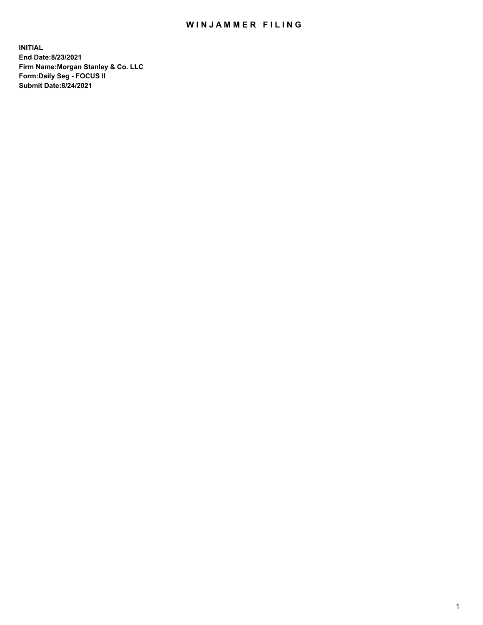## WIN JAMMER FILING

**INITIAL End Date:8/23/2021 Firm Name:Morgan Stanley & Co. LLC Form:Daily Seg - FOCUS II Submit Date:8/24/2021**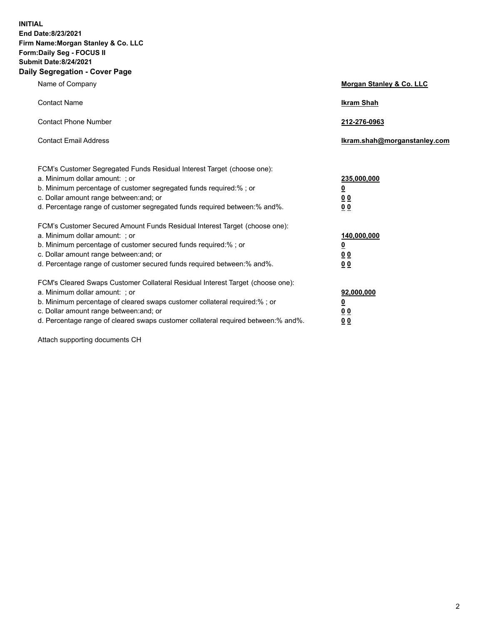**INITIAL End Date:8/23/2021 Firm Name:Morgan Stanley & Co. LLC Form:Daily Seg - FOCUS II Submit Date:8/24/2021 Daily Segregation - Cover Page**

| Name of Company                                                                                                                                                                                                                                                                                                                | <b>Morgan Stanley &amp; Co. LLC</b>                         |
|--------------------------------------------------------------------------------------------------------------------------------------------------------------------------------------------------------------------------------------------------------------------------------------------------------------------------------|-------------------------------------------------------------|
| <b>Contact Name</b>                                                                                                                                                                                                                                                                                                            | <b>Ikram Shah</b>                                           |
| <b>Contact Phone Number</b>                                                                                                                                                                                                                                                                                                    | 212-276-0963                                                |
| <b>Contact Email Address</b>                                                                                                                                                                                                                                                                                                   | Ikram.shah@morganstanley.com                                |
| FCM's Customer Segregated Funds Residual Interest Target (choose one):<br>a. Minimum dollar amount: ; or<br>b. Minimum percentage of customer segregated funds required:% ; or<br>c. Dollar amount range between: and; or<br>d. Percentage range of customer segregated funds required between:% and%.                         | 235,000,000<br><u>0</u><br>0 <sub>0</sub><br>0 <sub>0</sub> |
| FCM's Customer Secured Amount Funds Residual Interest Target (choose one):<br>a. Minimum dollar amount: ; or<br>b. Minimum percentage of customer secured funds required:%; or<br>c. Dollar amount range between: and; or<br>d. Percentage range of customer secured funds required between:% and%.                            | 140,000,000<br><u>0</u><br>0 <sub>0</sub><br>0 <sub>0</sub> |
| FCM's Cleared Swaps Customer Collateral Residual Interest Target (choose one):<br>a. Minimum dollar amount: ; or<br>b. Minimum percentage of cleared swaps customer collateral required:% ; or<br>c. Dollar amount range between: and; or<br>d. Percentage range of cleared swaps customer collateral required between:% and%. | 92,000,000<br><u>0</u><br><u>00</u><br>00                   |

Attach supporting documents CH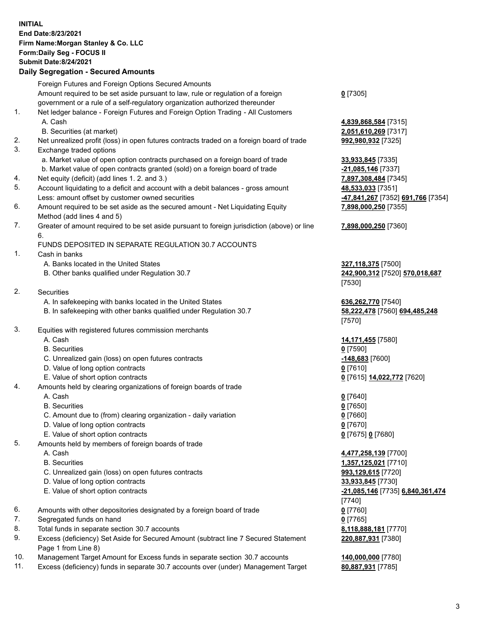## **INITIAL End Date:8/23/2021 Firm Name:Morgan Stanley & Co. LLC Form:Daily Seg - FOCUS II Submit Date:8/24/2021**

## **Daily Segregation - Secured Amounts**

Foreign Futures and Foreign Options Secured Amounts Amount required to be set aside pursuant to law, rule or regulation of a foreign government or a rule of a self-regulatory organization authorized thereunder 1. Net ledger balance - Foreign Futures and Foreign Option Trading - All Customers A. Cash **4,839,868,584** [7315] B. Securities (at market) **2,051,610,269** [7317] 2. Net unrealized profit (loss) in open futures contracts traded on a foreign board of trade **992,980,932** [7325] 3. Exchange traded options a. Market value of open option contracts purchased on a foreign board of trade **33,933,845** [7335] b. Market value of open contracts granted (sold) on a foreign board of trade **-21,085,146** [7337] 4. Net equity (deficit) (add lines 1. 2. and 3.) **7,897,308,484** [7345] 5. Account liquidating to a deficit and account with a debit balances - gross amount **48,533,033** [7351] Less: amount offset by customer owned securities **-47,841,267** [7352] **691,766** [7354] 6. Amount required to be set aside as the secured amount - Net Liquidating Equity Method (add lines 4 and 5) 7. Greater of amount required to be set aside pursuant to foreign jurisdiction (above) or line 6. FUNDS DEPOSITED IN SEPARATE REGULATION 30.7 ACCOUNTS 1. Cash in banks A. Banks located in the United States **327,118,375** [7500] B. Other banks qualified under Regulation 30.7 **242,900,312** [7520] **570,018,687** 2. Securities A. In safekeeping with banks located in the United States **636,262,770** [7540] B. In safekeeping with other banks qualified under Regulation 30.7 **58,222,478** [7560] **694,485,248** 3. Equities with registered futures commission merchants A. Cash **14,171,455** [7580] B. Securities **0** [7590] C. Unrealized gain (loss) on open futures contracts **-148,683** [7600] D. Value of long option contracts **0** [7610] E. Value of short option contracts **0** [7615] **14,022,772** [7620] 4. Amounts held by clearing organizations of foreign boards of trade A. Cash **0** [7640] B. Securities **0** [7650] C. Amount due to (from) clearing organization - daily variation **0** [7660] D. Value of long option contracts **0** [7670] E. Value of short option contracts **0** [7675] **0** [7680] 5. Amounts held by members of foreign boards of trade A. Cash **4,477,258,139** [7700] B. Securities **1,357,125,021** [7710] C. Unrealized gain (loss) on open futures contracts **993,129,615** [7720] D. Value of long option contracts **33,933,845** [7730] E. Value of short option contracts **-21,085,146** [7735] **6,840,361,474** 6. Amounts with other depositories designated by a foreign board of trade **0** [7760] 7. Segregated funds on hand **0** [7765] 8. Total funds in separate section 30.7 accounts **8,118,888,181** [7770] 9. Excess (deficiency) Set Aside for Secured Amount (subtract line 7 Secured Statement Page 1 from Line 8)

- 10. Management Target Amount for Excess funds in separate section 30.7 accounts **140,000,000** [7780]
- 11. Excess (deficiency) funds in separate 30.7 accounts over (under) Management Target **80,887,931** [7785]

**0** [7305]

**7,898,000,250** [7355]

## **7,898,000,250** [7360]

[7530]

[7570]

[7740] **220,887,931** [7380]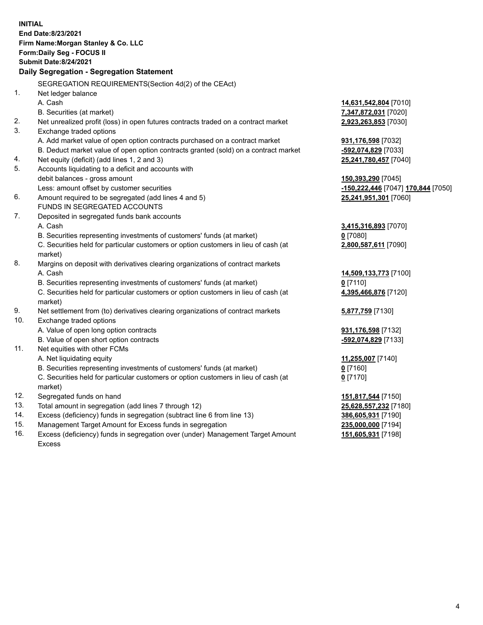**INITIAL End Date:8/23/2021 Firm Name:Morgan Stanley & Co. LLC Form:Daily Seg - FOCUS II Submit Date:8/24/2021 Daily Segregation - Segregation Statement** SEGREGATION REQUIREMENTS(Section 4d(2) of the CEAct) 1. Net ledger balance A. Cash **14,631,542,804** [7010] B. Securities (at market) **7,347,872,031** [7020] 2. Net unrealized profit (loss) in open futures contracts traded on a contract market **2,923,263,853** [7030] 3. Exchange traded options A. Add market value of open option contracts purchased on a contract market **931,176,598** [7032] B. Deduct market value of open option contracts granted (sold) on a contract market **-592,074,829** [7033] 4. Net equity (deficit) (add lines 1, 2 and 3) **25,241,780,457** [7040] 5. Accounts liquidating to a deficit and accounts with debit balances - gross amount **150,393,290** [7045] Less: amount offset by customer securities **-150,222,446** [7047] **170,844** [7050] 6. Amount required to be segregated (add lines 4 and 5) **25,241,951,301** [7060] FUNDS IN SEGREGATED ACCOUNTS 7. Deposited in segregated funds bank accounts A. Cash **3,415,316,893** [7070] B. Securities representing investments of customers' funds (at market) **0** [7080] C. Securities held for particular customers or option customers in lieu of cash (at market) **2,800,587,611** [7090] 8. Margins on deposit with derivatives clearing organizations of contract markets A. Cash **14,509,133,773** [7100] B. Securities representing investments of customers' funds (at market) **0** [7110] C. Securities held for particular customers or option customers in lieu of cash (at market) **4,395,466,876** [7120] 9. Net settlement from (to) derivatives clearing organizations of contract markets **5,877,759** [7130] 10. Exchange traded options A. Value of open long option contracts **931,176,598** [7132] B. Value of open short option contracts **-592,074,829** [7133] 11. Net equities with other FCMs A. Net liquidating equity **11,255,007** [7140] B. Securities representing investments of customers' funds (at market) **0** [7160] C. Securities held for particular customers or option customers in lieu of cash (at market) **0** [7170] 12. Segregated funds on hand **151,817,544** [7150] 13. Total amount in segregation (add lines 7 through 12) **25,628,557,232** [7180] 14. Excess (deficiency) funds in segregation (subtract line 6 from line 13) **386,605,931** [7190] 15. Management Target Amount for Excess funds in segregation **235,000,000** [7194] **151,605,931** [7198]

16. Excess (deficiency) funds in segregation over (under) Management Target Amount Excess